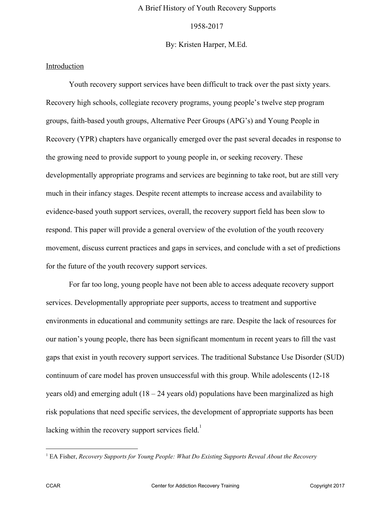## 1958-2017

By: Kristen Harper, M.Ed.

## Introduction

Youth recovery support services have been difficult to track over the past sixty years. Recovery high schools, collegiate recovery programs, young people's twelve step program groups, faith-based youth groups, Alternative Peer Groups (APG's) and Young People in Recovery (YPR) chapters have organically emerged over the past several decades in response to the growing need to provide support to young people in, or seeking recovery. These developmentally appropriate programs and services are beginning to take root, but are still very much in their infancy stages. Despite recent attempts to increase access and availability to evidence-based youth support services, overall, the recovery support field has been slow to respond. This paper will provide a general overview of the evolution of the youth recovery movement, discuss current practices and gaps in services, and conclude with a set of predictions for the future of the youth recovery support services.

For far too long, young people have not been able to access adequate recovery support services. Developmentally appropriate peer supports, access to treatment and supportive environments in educational and community settings are rare. Despite the lack of resources for our nation's young people, there has been significant momentum in recent years to fill the vast gaps that exist in youth recovery support services. The traditional Substance Use Disorder (SUD) continuum of care model has proven unsuccessful with this group. While adolescents (12-18 years old) and emerging adult  $(18 - 24$  years old) populations have been marginalized as high risk populations that need specific services, the development of appropriate supports has been lacking within the recovery support services field.<sup>1</sup>

<sup>1</sup> EA Fisher, *Recovery Supports for Young People: What Do Existing Supports Reveal About the Recovery*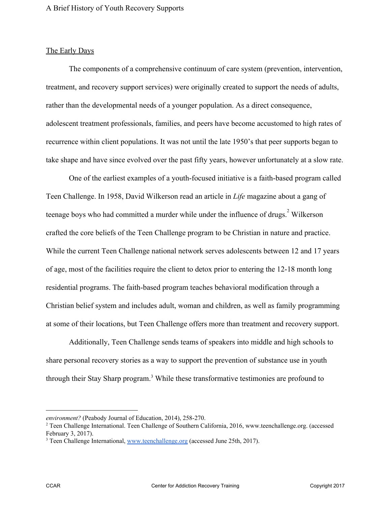# The Early Days

The components of a comprehensive continuum of care system (prevention, intervention, treatment, and recovery support services) were originally created to support the needs of adults, rather than the developmental needs of a younger population. As a direct consequence, adolescent treatment professionals, families, and peers have become accustomed to high rates of recurrence within client populations. It was not until the late 1950's that peer supports began to take shape and have since evolved over the past fifty years, however unfortunately at a slow rate.

One of the earliest examples of a youth-focused initiative is a faith-based program called Teen Challenge. In 1958, David Wilkerson read an article in *Life* magazine about a gang of teenage boys who had committed a murder while under the influence of drugs.<sup>2</sup> Wilkerson crafted the core beliefs of the Teen Challenge program to be Christian in nature and practice. While the current Teen Challenge national network serves adolescents between 12 and 17 years of age, most of the facilities require the client to detox prior to entering the 12-18 month long residential programs. The faith-based program teaches behavioral modification through a Christian belief system and includes adult, woman and children, as well as family programming at some of their locations, but Teen Challenge offers more than treatment and recovery support.

Additionally, Teen Challenge sends teams of speakers into middle and high schools to share personal recovery stories as a way to support the prevention of substance use in youth through their Stay Sharp program.<sup>3</sup> While these transformative testimonies are profound to

*environment?* (Peabody Journal of Education, 2014), 258-270.

<sup>2</sup> Teen Challenge International. Teen Challenge of Southern California, 2016, www.teenchallenge.org. (accessed February 3, 2017).

<sup>&</sup>lt;sup>3</sup> Teen Challenge International, [www.teenchallenge.org](http://www.teenchallenge.org/) (accessed June 25th, 2017).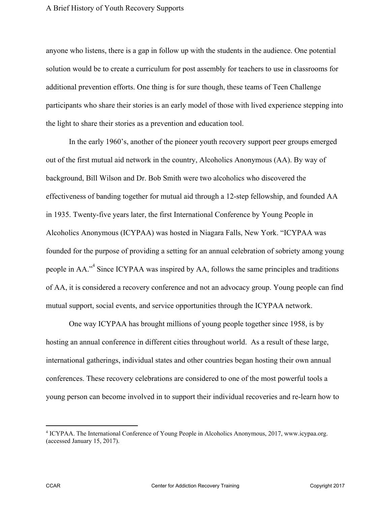### A Brief History of Youth Recovery Supports

anyone who listens, there is a gap in follow up with the students in the audience. One potential solution would be to create a curriculum for post assembly for teachers to use in classrooms for additional prevention efforts. One thing is for sure though, these teams of Teen Challenge participants who share their stories is an early model of those with lived experience stepping into the light to share their stories as a prevention and education tool.

In the early 1960's, another of the pioneer youth recovery support peer groups emerged out of the first mutual aid network in the country, Alcoholics Anonymous (AA). By way of background, Bill Wilson and Dr. Bob Smith were two alcoholics who discovered the effectiveness of banding together for mutual aid through a 12-step fellowship, and founded AA in 1935. Twenty-five years later, the first International Conference by Young People in Alcoholics Anonymous (ICYPAA) was hosted in Niagara Falls, New York. "ICYPAA was founded for the purpose of providing a setting for an annual celebration of sobriety among young people in AA.<sup>"4</sup> Since ICYPAA was inspired by AA, follows the same principles and traditions of AA, it is considered a recovery conference and not an advocacy group. Young people can find mutual support, social events, and service opportunities through the ICYPAA network.

One way ICYPAA has brought millions of young people together since 1958, is by hosting an annual conference in different cities throughout world. As a result of these large, international gatherings, individual states and other countries began hosting their own annual conferences. These recovery celebrations are considered to one of the most powerful tools a young person can become involved in to support their individual recoveries and re-learn how to

<sup>4</sup> ICYPAA. The International Conference of Young People in Alcoholics Anonymous, 2017, www.icypaa.org. (accessed January 15, 2017).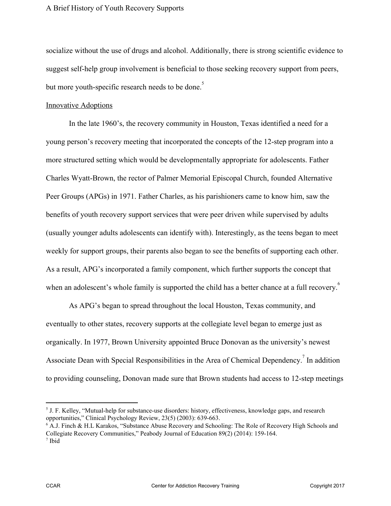socialize without the use of drugs and alcohol. Additionally, there is strong scientific evidence to suggest self-help group involvement is beneficial to those seeking recovery support from peers, but more youth-specific research needs to be done.<sup>5</sup>

### Innovative Adoptions

In the late 1960's, the recovery community in Houston, Texas identified a need for a young person's recovery meeting that incorporated the concepts of the 12-step program into a more structured setting which would be developmentally appropriate for adolescents. Father Charles Wyatt-Brown, the rector of Palmer Memorial Episcopal Church, founded Alternative Peer Groups (APGs) in 1971. Father Charles, as his parishioners came to know him, saw the benefits of youth recovery support services that were peer driven while supervised by adults (usually younger adults adolescents can identify with). Interestingly, as the teens began to meet weekly for support groups, their parents also began to see the benefits of supporting each other. As a result, APG's incorporated a family component, which further supports the concept that when an adolescent's whole family is supported the child has a better chance at a full recovery.<sup>6</sup>

As APG's began to spread throughout the local Houston, Texas community, and eventually to other states, recovery supports at the collegiate level began to emerge just as organically. In 1977, Brown University appointed Bruce Donovan as the university's newest Associate Dean with Special Responsibilities in the Area of Chemical Dependency.<sup>7</sup> In addition to providing counseling, Donovan made sure that Brown students had access to 12-step meetings

<sup>5</sup> J. F. Kelley, "Mutual-help for substance-use disorders: history, effectiveness, knowledge gaps, and research opportunities," Clinical Psychology Review, 23(5) (2003): 639-663.

<sup>6</sup> A.J. Finch & H.L Karakos, "Substance Abuse Recovery and Schooling: The Role of Recovery High Schools and Collegiate Recovery Communities," Peabody Journal of Education 89(2) (2014): 159-164. 7 Ibid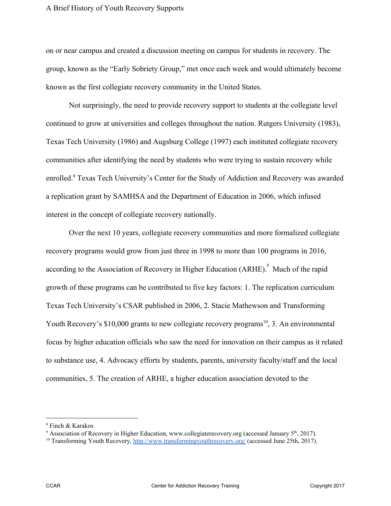on or near campus and created a discussion meeting on campus for students in recovery. The group, known as the "Early Sobriety Group," met once each week and would ultimately become known as the first collegiate recovery community in the United States.

Not surprisingly, the need to provide recovery support to students at the collegiate level continued to grow at universities and colleges throughout the nation. Rutgers University (1983), Texas Tech University (1986) and Augsburg College (1997) each instituted collegiate recovery communities after identifying the need by students who were trying to sustain recovery while enrolled.<sup>8</sup> Texas Tech University's Center for the Study of Addiction and Recovery was awarded a replication grant by SAMHSA and the Department of Education in 2006, which infused interest in the concept of collegiate recovery nationally.

Over the next 10 years, collegiate recovery communities and more formalized collegiate recovery programs would grow from just three in 1998 to more than 100 programs in 2016, according to the Association of Recovery in Higher Education (ARHE).<sup>9</sup> Much of the rapid growth of these programs can be contributed to five key factors: 1. The replication curriculum Texas Tech University's CSAR published in 2006, 2. Stacie Mathewson and Transforming Youth Recovery's  $$10,000$  grants to new collegiate recovery programs<sup>10</sup>, 3. An environmental focus by higher education officials who saw the need for innovation on their campus as it related to substance use, 4. Advocacy efforts by students, parents, university faculty/staff and the local communities, 5. The creation of ARHE, a higher education association devoted to the

<sup>8</sup> Finch & Karakos

<sup>&</sup>lt;sup>9</sup> Association of Recovery in Higher Education, www.collegiaterecovery.org (accessed January  $5<sup>th</sup>$ , 2017).

<sup>&</sup>lt;sup>10</sup> Transforming Youth Recovery, <http://www.transformingyouthrecovery.org/> (accessed June 25th, 2017).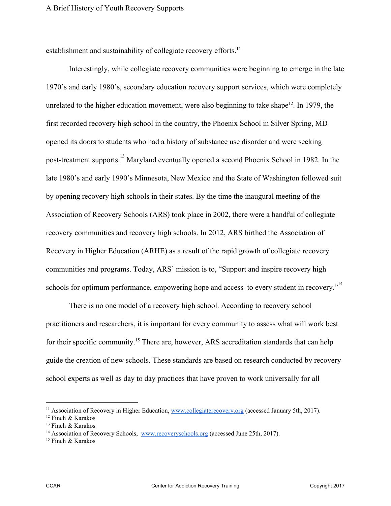establishment and sustainability of collegiate recovery efforts.<sup>11</sup>

Interestingly, while collegiate recovery communities were beginning to emerge in the late 1970's and early 1980's, secondary education recovery support services, which were completely unrelated to the higher education movement, were also beginning to take shape<sup>12</sup>. In 1979, the first recorded recovery high school in the country, the Phoenix School in Silver Spring, MD opened its doors to students who had a history of substance use disorder and were seeking post-treatment supports.<sup>13</sup> Maryland eventually opened a second Phoenix School in 1982. In the late 1980's and early 1990's Minnesota, New Mexico and the State of Washington followed suit by opening recovery high schools in their states. By the time the inaugural meeting of the Association of Recovery Schools (ARS) took place in 2002, there were a handful of collegiate recovery communities and recovery high schools. In 2012, ARS birthed the Association of Recovery in Higher Education (ARHE) as a result of the rapid growth of collegiate recovery communities and programs. Today, ARS' mission is to, "Support and inspire recovery high schools for optimum performance, empowering hope and access to every student in recovery."<sup>14</sup>

There is no one model of a recovery high school. According to recovery school practitioners and researchers, it is important for every community to assess what will work best for their specific community.<sup>15</sup> There are, however, ARS accreditation standards that can help guide the creation of new schools. These standards are based on research conducted by recovery school experts as well as day to day practices that have proven to work universally for all

<sup>15</sup> Finch & Karakos

<sup>&</sup>lt;sup>11</sup> Association of Recovery in Higher Education, [www.collegiaterecovery.org](http://www.collegiaterecovery.org/) (accessed January 5th, 2017).

<sup>12</sup> Finch & Karakos

<sup>13</sup> Finch & Karakos

<sup>&</sup>lt;sup>14</sup> Association of Recovery Schools, [www.recoveryschools.org](http://www.recoveryschools.org/) (accessed June 25th, 2017).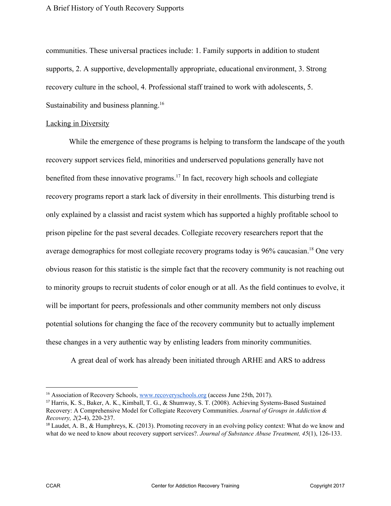communities. These universal practices include: 1. Family supports in addition to student supports, 2. A supportive, developmentally appropriate, educational environment, 3. Strong recovery culture in the school, 4. Professional staff trained to work with adolescents, 5. Sustainability and business planning.<sup>16</sup>

## Lacking in Diversity

While the emergence of these programs is helping to transform the landscape of the youth recovery support services field, minorities and underserved populations generally have not benefited from these innovative programs.<sup>17</sup> In fact, recovery high schools and collegiate recovery programs report a stark lack of diversity in their enrollments. This disturbing trend is only explained by a classist and racist system which has supported a highly profitable school to prison pipeline for the past several decades. Collegiate recovery researchers report that the average demographics for most collegiate recovery programs today is  $96\%$  caucasian.<sup>18</sup> One very obvious reason for this statistic is the simple fact that the recovery community is not reaching out to minority groups to recruit students of color enough or at all. As the field continues to evolve, it will be important for peers, professionals and other community members not only discuss potential solutions for changing the face of the recovery community but to actually implement these changes in a very authentic way by enlisting leaders from minority communities.

A great deal of work has already been initiated through ARHE and ARS to address

<sup>&</sup>lt;sup>16</sup> Association of Recovery Schools, [www.recoveryschools.org](http://www.recoveryschools.org/) (access June 25th, 2017).

<sup>17</sup> Harris, K. S., Baker, A. K., Kimball, T. G., & Shumway, S. T. (2008). Achieving Systems-Based Sustained Recovery: A Comprehensive Model for Collegiate Recovery Communities. *Journal of Groups in Addiction & Recovery, 2*(2-4), 220-237.

<sup>&</sup>lt;sup>18</sup> Laudet, A. B., & Humphreys, K. (2013). Promoting recovery in an evolving policy context: What do we know and what do we need to know about recovery support services?. *Journal of Substance Abuse Treatment, 45*(1), 126-133.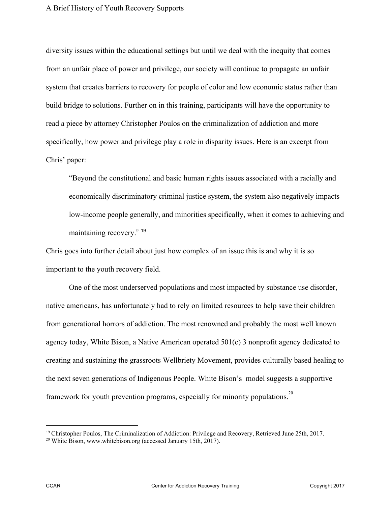diversity issues within the educational settings but until we deal with the inequity that comes from an unfair place of power and privilege, our society will continue to propagate an unfair system that creates barriers to recovery for people of color and low economic status rather than build bridge to solutions. Further on in this training, participants will have the opportunity to read a piece by attorney Christopher Poulos on the criminalization of addiction and more specifically, how power and privilege play a role in disparity issues. Here is an excerpt from Chris' paper:

"Beyond the constitutional and basic human rights issues associated with a racially and economically discriminatory criminal justice system, the system also negatively impacts low-income people generally, and minorities specifically, when it comes to achieving and maintaining recovery." 19

Chris goes into further detail about just how complex of an issue this is and why it is so important to the youth recovery field.

One of the most underserved populations and most impacted by substance use disorder, native americans, has unfortunately had to rely on limited resources to help save their children from generational horrors of addiction. The most renowned and probably the most well known agency today, White Bison, a Native American operated 501(c) 3 nonprofit agency dedicated to creating and sustaining the grassroots Wellbriety Movement, provides culturally based healing to the next seven generations of Indigenous People. White Bison's model suggests a supportive framework for youth prevention programs, especially for minority populations. <sup>20</sup>

<sup>19</sup> Christopher Poulos, The Criminalization of Addiction: Privilege and Recovery, Retrieved June 25th, 2017.

<sup>20</sup> White Bison, www.whitebison.org (accessed January 15th, 2017).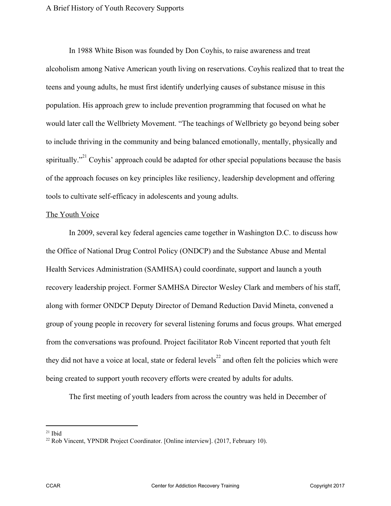### A Brief History of Youth Recovery Supports

In 1988 White Bison was founded by Don Coyhis, to raise awareness and treat alcoholism among Native American youth living on reservations. Coyhis realized that to treat the teens and young adults, he must first identify underlying causes of substance misuse in this population. His approach grew to include prevention programming that focused on what he would later call the Wellbriety Movement. "The teachings of Wellbriety go beyond being sober to include thriving in the community and being balanced emotionally, mentally, physically and spiritually."<sup>21</sup> Coyhis' approach could be adapted for other special populations because the basis of the approach focuses on key principles like resiliency, leadership development and offering tools to cultivate self-efficacy in adolescents and young adults.

### The Youth Voice

In 2009, several key federal agencies came together in Washington D.C. to discuss how the Office of National Drug Control Policy (ONDCP) and the Substance Abuse and Mental Health Services Administration (SAMHSA) could coordinate, support and launch a youth recovery leadership project. Former SAMHSA Director Wesley Clark and members of his staff, along with former ONDCP Deputy Director of Demand Reduction David Mineta, convened a group of young people in recovery for several listening forums and focus groups. What emerged from the conversations was profound. Project facilitator Rob Vincent reported that youth felt they did not have a voice at local, state or federal levels<sup>22</sup> and often felt the policies which were being created to support youth recovery efforts were created by adults for adults.

The first meeting of youth leaders from across the country was held in December of

 $21$  Ibid

<sup>22</sup> Rob Vincent, YPNDR Project Coordinator. [Online interview]. (2017, February 10).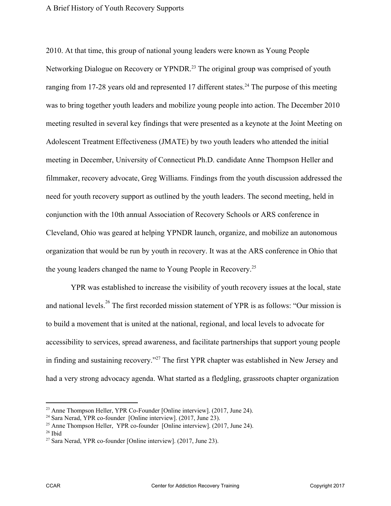2010. At that time, this group of national young leaders were known as Young People Networking Dialogue on Recovery or YPNDR.<sup>23</sup> The original group was comprised of youth ranging from 17-28 years old and represented 17 different states.<sup>24</sup> The purpose of this meeting was to bring together youth leaders and mobilize young people into action. The December 2010 meeting resulted in several key findings that were presented as a keynote at the Joint Meeting on Adolescent Treatment Effectiveness (JMATE) by two youth leaders who attended the initial meeting in December, University of Connecticut Ph.D. candidate Anne Thompson Heller and filmmaker, recovery advocate, Greg Williams. Findings from the youth discussion addressed the need for youth recovery support as outlined by the youth leaders. The second meeting, held in conjunction with the 10th annual Association of Recovery Schools or ARS conference in Cleveland, Ohio was geared at helping YPNDR launch, organize, and mobilize an autonomous organization that would be run by youth in recovery. It was at the ARS conference in Ohio that the young leaders changed the name to Young People in Recovery. <sup>25</sup>

YPR was established to increase the visibility of youth recovery issues at the local, state and national levels.<sup>26</sup> The first recorded mission statement of YPR is as follows: "Our mission is to build a movement that is united at the national, regional, and local levels to advocate for accessibility to services, spread awareness, and facilitate partnerships that support young people in finding and sustaining recovery."<sup>27</sup> The first YPR chapter was established in New Jersey and had a very strong advocacy agenda. What started as a fledgling, grassroots chapter organization

<sup>23</sup> Anne Thompson Heller, YPR Co-Founder [Online interview]. (2017, June 24).

<sup>24</sup> Sara Nerad, YPR co-founder [Online interview]. (2017, June 23).

 $25$  Anne Thompson Heller, YPR co-founder [Online interview]. (2017, June 24).

 $26$  Ibid

<sup>27</sup> Sara Nerad, YPR co-founder [Online interview]. (2017, June 23).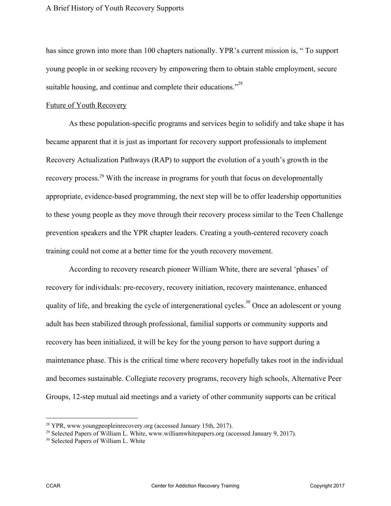has since grown into more than 100 chapters nationally. YPR's current mission is, " To support young people in or seeking recovery by empowering them to obtain stable employment, secure suitable housing, and continue and complete their educations."<sup>28</sup>

#### Future of Youth Recovery

As these population-specific programs and services begin to solidify and take shape it has became apparent that it is just as important for recovery support professionals to implement Recovery Actualization Pathways (RAP) to support the evolution of a youth's growth in the recovery process.<sup>29</sup> With the increase in programs for youth that focus on developmentally appropriate, evidence-based programming, the next step will be to offer leadership opportunities to these young people as they move through their recovery process similar to the Teen Challenge prevention speakers and the YPR chapter leaders. Creating a youth-centered recovery coach training could not come at a better time for the youth recovery movement.

According to recovery research pioneer William White, there are several 'phases' of recovery for individuals: pre-recovery, recovery initiation, recovery maintenance, enhanced quality of life, and breaking the cycle of intergenerational cycles.<sup>30</sup> Once an adolescent or young adult has been stabilized through professional, familial supports or community supports and recovery has been initialized, it will be key for the young person to have support during a maintenance phase. This is the critical time where recovery hopefully takes root in the individual and becomes sustainable. Collegiate recovery programs, recovery high schools, Alternative Peer Groups, 12-step mutual aid meetings and a variety of other community supports can be critical

<sup>28</sup> YPR, www.youngpeopleinrecovery.org (accessed January 15th, 2017).

 $29$  Selected Papers of William L. White, www.williamwhitepapers.org (accessed January 9, 2017).

<sup>30</sup> Selected Papers of William L. White